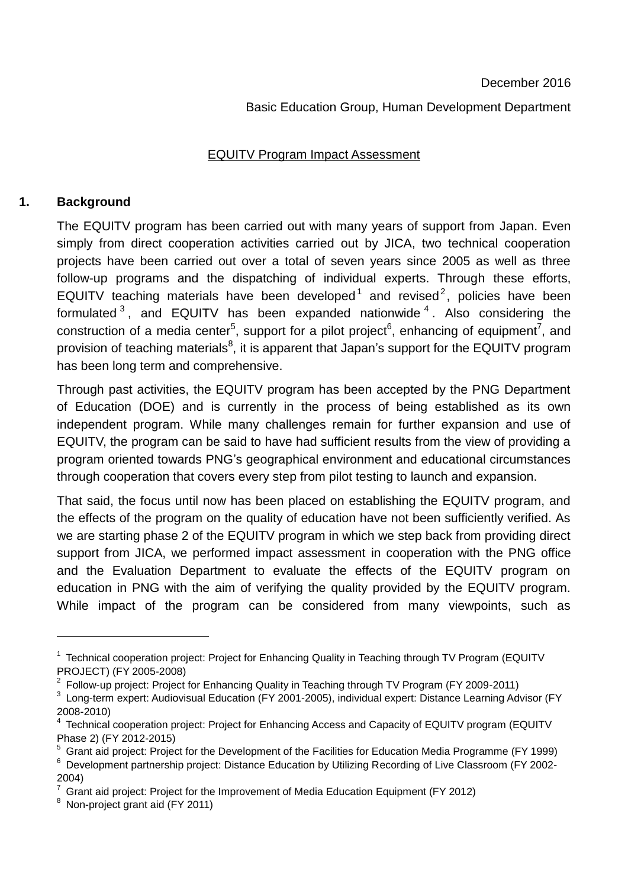#### December 2016

### Basic Education Group, Human Development Department

### EQUITV Program Impact Assessment

## **1. Background**

1

The EQUITV program has been carried out with many years of support from Japan. Even simply from direct cooperation activities carried out by JICA, two technical cooperation projects have been carried out over a total of seven years since 2005 as well as three follow-up programs and the dispatching of individual experts. Through these efforts, EQUITV teaching materials have been developed<sup>1</sup> and revised<sup>2</sup>, policies have been formulated  $3$ , and EQUITV has been expanded nationwide  $4$ . Also considering the construction of a media center<sup>5</sup>, support for a pilot project<sup>6</sup>, enhancing of equipment<sup>7</sup>, and provision of teaching materials<sup>8</sup>, it is apparent that Japan's support for the EQUITV program has been long term and comprehensive.

Through past activities, the EQUITV program has been accepted by the PNG Department of Education (DOE) and is currently in the process of being established as its own independent program. While many challenges remain for further expansion and use of EQUITV, the program can be said to have had sufficient results from the view of providing a program oriented towards PNG's geographical environment and educational circumstances through cooperation that covers every step from pilot testing to launch and expansion.

That said, the focus until now has been placed on establishing the EQUITV program, and the effects of the program on the quality of education have not been sufficiently verified. As we are starting phase 2 of the EQUITV program in which we step back from providing direct support from JICA, we performed impact assessment in cooperation with the PNG office and the Evaluation Department to evaluate the effects of the EQUITV program on education in PNG with the aim of verifying the quality provided by the EQUITV program. While impact of the program can be considered from many viewpoints, such as

<sup>&</sup>lt;sup>1</sup> Technical cooperation project: Project for Enhancing Quality in Teaching through TV Program (EQUITV PROJECT) (FY 2005-2008)

<sup>&</sup>lt;sup>2</sup> Follow-up project: Project for Enhancing Quality in Teaching through TV Program (FY 2009-2011)

 $3$  Long-term expert: Audiovisual Education (FY 2001-2005), individual expert: Distance Learning Advisor (FY 2008-2010)

<sup>&</sup>lt;sup>4</sup> Technical cooperation project: Project for Enhancing Access and Capacity of EQUITV program (EQUITV Phase 2) (FY 2012-2015)

<sup>&</sup>lt;sup>5</sup> Grant aid project: Project for the Development of the Facilities for Education Media Programme (FY 1999)

<sup>6</sup> Development partnership project: Distance Education by Utilizing Recording of Live Classroom (FY 2002- 2004)

 $7$  Grant aid project: Project for the Improvement of Media Education Equipment (FY 2012)

<sup>8</sup> Non-project grant aid (FY 2011)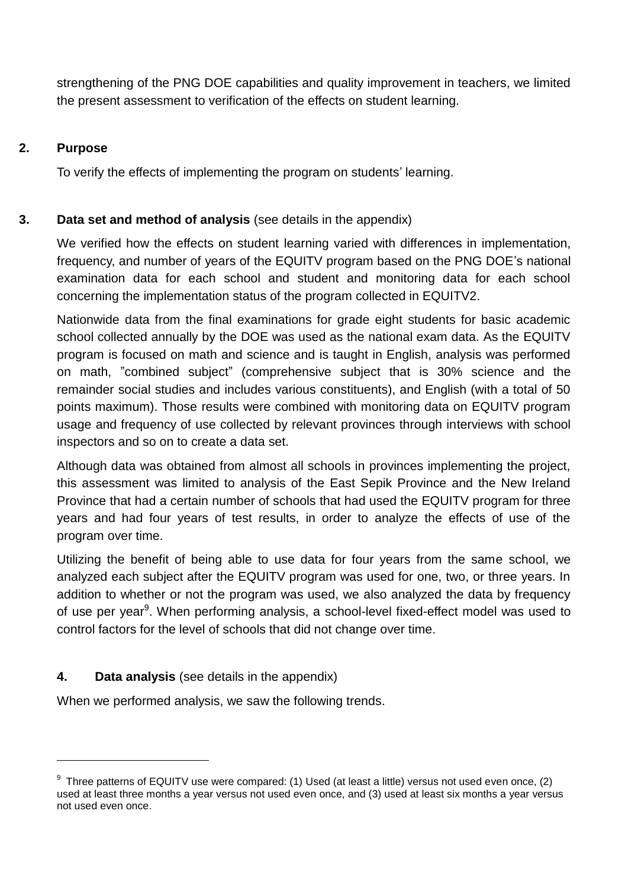strengthening of the PNG DOE capabilities and quality improvement in teachers, we limited the present assessment to verification of the effects on student learning.

## **2. Purpose**

1

To verify the effects of implementing the program on students' learning.

# **3. Data set and method of analysis** (see details in the appendix)

We verified how the effects on student learning varied with differences in implementation, frequency, and number of years of the EQUITV program based on the PNG DOE's national examination data for each school and student and monitoring data for each school concerning the implementation status of the program collected in EQUITV2.

Nationwide data from the final examinations for grade eight students for basic academic school collected annually by the DOE was used as the national exam data. As the EQUITV program is focused on math and science and is taught in English, analysis was performed on math, "combined subject" (comprehensive subject that is 30% science and the remainder social studies and includes various constituents), and English (with a total of 50 points maximum). Those results were combined with monitoring data on EQUITV program usage and frequency of use collected by relevant provinces through interviews with school inspectors and so on to create a data set.

Although data was obtained from almost all schools in provinces implementing the project, this assessment was limited to analysis of the East Sepik Province and the New Ireland Province that had a certain number of schools that had used the EQUITV program for three years and had four years of test results, in order to analyze the effects of use of the program over time.

Utilizing the benefit of being able to use data for four years from the same school, we analyzed each subject after the EQUITV program was used for one, two, or three years. In addition to whether or not the program was used, we also analyzed the data by frequency of use per year<sup>9</sup>. When performing analysis, a school-level fixed-effect model was used to control factors for the level of schools that did not change over time.

# **4. Data analysis** (see details in the appendix)

When we performed analysis, we saw the following trends.

 $^9$  Three patterns of EQUITV use were compared: (1) Used (at least a little) versus not used even once, (2) used at least three months a year versus not used even once, and (3) used at least six months a year versus not used even once.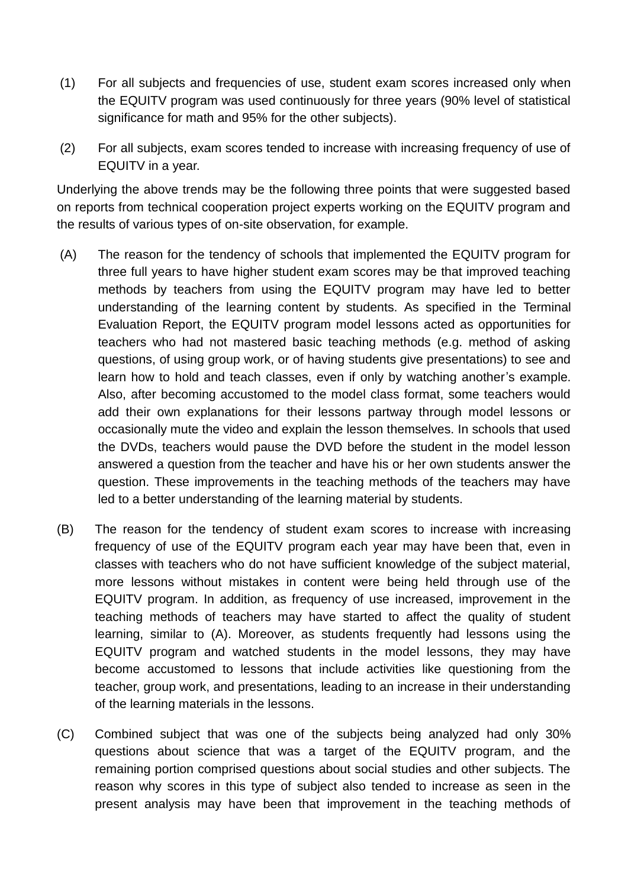- (1) For all subjects and frequencies of use, student exam scores increased only when the EQUITV program was used continuously for three years (90% level of statistical significance for math and 95% for the other subjects).
- (2) For all subjects, exam scores tended to increase with increasing frequency of use of EQUITV in a year.

Underlying the above trends may be the following three points that were suggested based on reports from technical cooperation project experts working on the EQUITV program and the results of various types of on-site observation, for example.

- (A) The reason for the tendency of schools that implemented the EQUITV program for three full years to have higher student exam scores may be that improved teaching methods by teachers from using the EQUITV program may have led to better understanding of the learning content by students. As specified in the Terminal Evaluation Report, the EQUITV program model lessons acted as opportunities for teachers who had not mastered basic teaching methods (e.g. method of asking questions, of using group work, or of having students give presentations) to see and learn how to hold and teach classes, even if only by watching another's example. Also, after becoming accustomed to the model class format, some teachers would add their own explanations for their lessons partway through model lessons or occasionally mute the video and explain the lesson themselves. In schools that used the DVDs, teachers would pause the DVD before the student in the model lesson answered a question from the teacher and have his or her own students answer the question. These improvements in the teaching methods of the teachers may have led to a better understanding of the learning material by students.
- (B) The reason for the tendency of student exam scores to increase with increasing frequency of use of the EQUITV program each year may have been that, even in classes with teachers who do not have sufficient knowledge of the subject material, more lessons without mistakes in content were being held through use of the EQUITV program. In addition, as frequency of use increased, improvement in the teaching methods of teachers may have started to affect the quality of student learning, similar to (A). Moreover, as students frequently had lessons using the EQUITV program and watched students in the model lessons, they may have become accustomed to lessons that include activities like questioning from the teacher, group work, and presentations, leading to an increase in their understanding of the learning materials in the lessons.
- (C) Combined subject that was one of the subjects being analyzed had only 30% questions about science that was a target of the EQUITV program, and the remaining portion comprised questions about social studies and other subjects. The reason why scores in this type of subject also tended to increase as seen in the present analysis may have been that improvement in the teaching methods of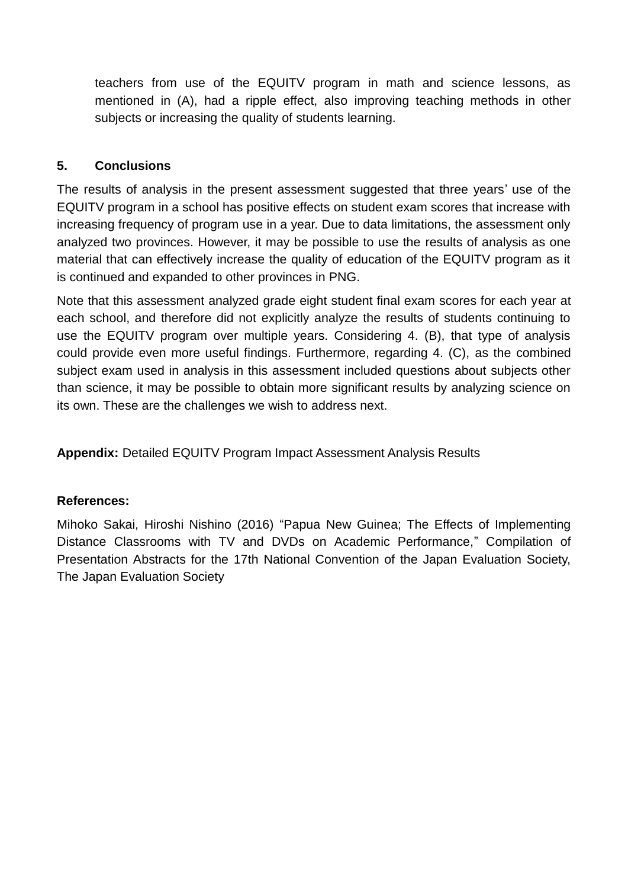teachers from use of the EQUITV program in math and science lessons, as mentioned in (A), had a ripple effect, also improving teaching methods in other subjects or increasing the quality of students learning.

# **5. Conclusions**

The results of analysis in the present assessment suggested that three years' use of the EQUITV program in a school has positive effects on student exam scores that increase with increasing frequency of program use in a year. Due to data limitations, the assessment only analyzed two provinces. However, it may be possible to use the results of analysis as one material that can effectively increase the quality of education of the EQUITV program as it is continued and expanded to other provinces in PNG.

Note that this assessment analyzed grade eight student final exam scores for each year at each school, and therefore did not explicitly analyze the results of students continuing to use the EQUITV program over multiple years. Considering 4. (B), that type of analysis could provide even more useful findings. Furthermore, regarding 4. (C), as the combined subject exam used in analysis in this assessment included questions about subjects other than science, it may be possible to obtain more significant results by analyzing science on its own. These are the challenges we wish to address next.

**Appendix:** Detailed EQUITV Program Impact Assessment Analysis Results

## **References:**

Mihoko Sakai, Hiroshi Nishino (2016) "Papua New Guinea; The Effects of Implementing Distance Classrooms with TV and DVDs on Academic Performance," Compilation of Presentation Abstracts for the 17th National Convention of the Japan Evaluation Society, The Japan Evaluation Society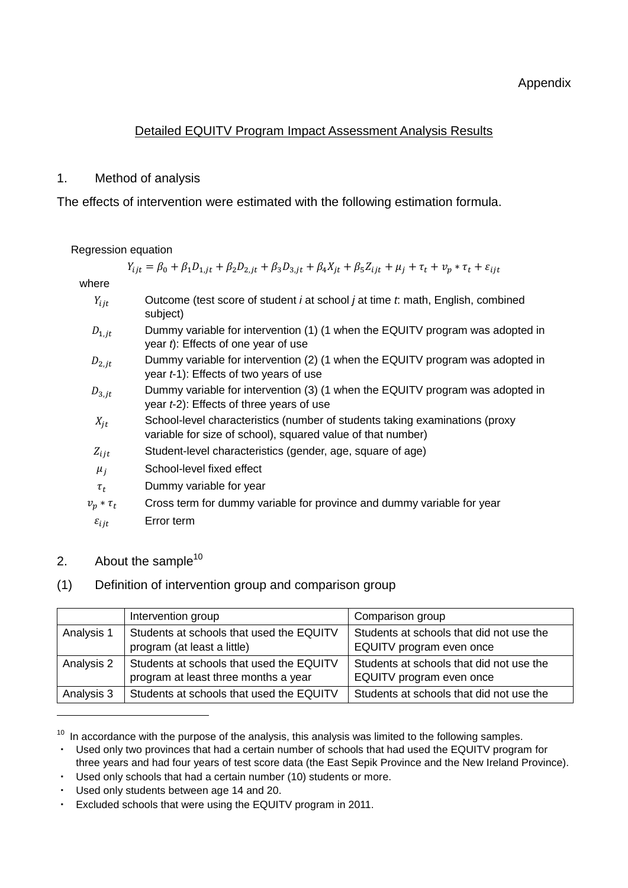## Detailed EQUITV Program Impact Assessment Analysis Results

## 1. Method of analysis

The effects of intervention were estimated with the following estimation formula.

#### Regression equation

 $Y_{iit} = \beta_0 + \beta_1 D_{1, it} + \beta_2 D_{2, it} + \beta_3 D_{3, it} + \beta_4 X_{it} + \beta_5 Z_{i, it} + \mu_i + \tau_t + \nu_p * \tau_t + \varepsilon_{i, it}$ 

#### where

- Outcome (test score of student *i* at school *j* at time *t*: math, English, combined subject)
- $D_{1, it}$  Dummy variable for intervention (1) (1 when the EQUITV program was adopted in year *t*): Effects of one year of use
- $D_{2.it}$  Dummy variable for intervention (2) (1 when the EQUITV program was adopted in year *t*-1): Effects of two years of use
- $D_{3, it}$  Dummy variable for intervention (3) (1 when the EQUITV program was adopted in year *t*-2): Effects of three years of use
- $X_{it}$  School-level characteristics (number of students taking examinations (proxy variable for size of school), squared value of that number)
- $Z_{iit}$  Student-level characteristics (gender, age, square of age)
- $\mu_i$  School-level fixed effect
- $\tau_t$  Dummy variable for year
- $v_p * \tau_t$  Cross term for dummy variable for province and dummy variable for year  $\varepsilon_{ijt}$  Error term
- 2. About the sample $10$

1

## (1) Definition of intervention group and comparison group

|            | Intervention group                       | Comparison group                         |
|------------|------------------------------------------|------------------------------------------|
| Analysis 1 | Students at schools that used the EQUITV | Students at schools that did not use the |
|            | program (at least a little)              | EQUITV program even once                 |
| Analysis 2 | Students at schools that used the EQUITV | Students at schools that did not use the |
|            | program at least three months a year     | EQUITV program even once                 |
| Analysis 3 | Students at schools that used the EQUITV | Students at schools that did not use the |

In accordance with the purpose of the analysis, this analysis was limited to the following samples.

Used only two provinces that had a certain number of schools that had used the EQUITV program for three years and had four years of test score data (the East Sepik Province and the New Ireland Province).

<sup>・</sup> Used only schools that had a certain number (10) students or more.

<sup>・</sup> Used only students between age 14 and 20.

Excluded schools that were using the EQUITV program in 2011.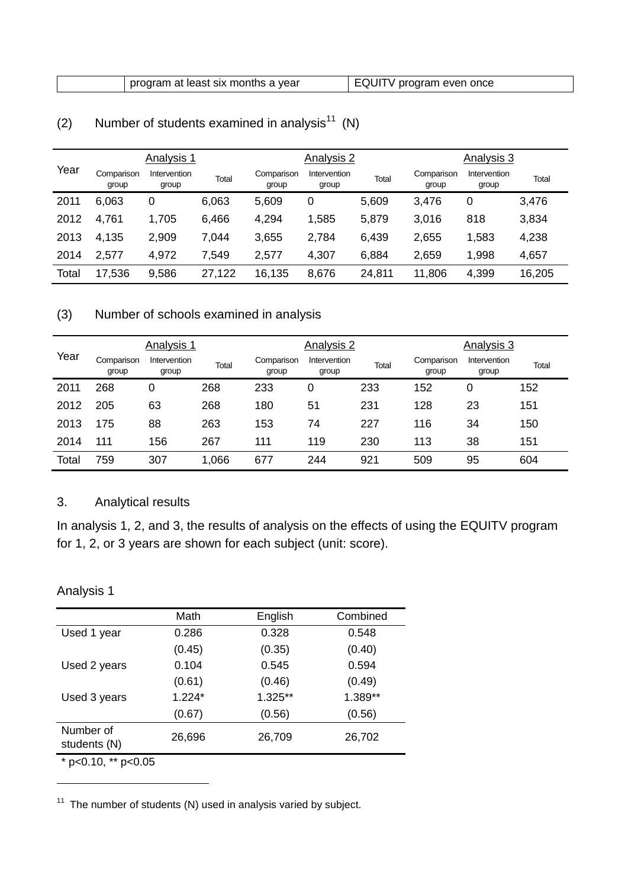|       |                     | Analysis 1            |              |                     | Analysis 2            |        |                     | Analysis 3            |        |
|-------|---------------------|-----------------------|--------------|---------------------|-----------------------|--------|---------------------|-----------------------|--------|
| Year  | Comparison<br>group | Intervention<br>group | <b>Total</b> | Comparison<br>group | Intervention<br>group | Total  | Comparison<br>group | Intervention<br>group | Total  |
| 2011  | 6,063               | 0                     | 6,063        | 5,609               | 0                     | 5,609  | 3,476               | 0                     | 3,476  |
| 2012  | 4,761               | 1,705                 | 6,466        | 4,294               | 1,585                 | 5,879  | 3,016               | 818                   | 3,834  |
| 2013  | 4,135               | 2,909                 | 7,044        | 3,655               | 2,784                 | 6,439  | 2,655               | 1,583                 | 4,238  |
| 2014  | 2,577               | 4,972                 | 7,549        | 2,577               | 4,307                 | 6,884  | 2,659               | 1,998                 | 4,657  |
| Total | 17,536              | 9,586                 | 27,122       | 16,135              | 8,676                 | 24,811 | 11,806              | 4,399                 | 16,205 |

# (2) Number of students examined in analysis<sup>11</sup> (N)

## (3) Number of schools examined in analysis

|       |                     | Analysis 1            |       |                     | Analysis 2            |       |                     | Analysis 3            |       |
|-------|---------------------|-----------------------|-------|---------------------|-----------------------|-------|---------------------|-----------------------|-------|
| Year  | Comparison<br>group | Intervention<br>group | Total | Comparison<br>group | Intervention<br>group | Total | Comparison<br>group | Intervention<br>group | Total |
| 2011  | 268                 | 0                     | 268   | 233                 | 0                     | 233   | 152                 | 0                     | 152   |
| 2012  | 205                 | 63                    | 268   | 180                 | 51                    | 231   | 128                 | 23                    | 151   |
| 2013  | 175                 | 88                    | 263   | 153                 | 74                    | 227   | 116                 | 34                    | 150   |
| 2014  | 111                 | 156                   | 267   | 111                 | 119                   | 230   | 113                 | 38                    | 151   |
| Total | 759                 | 307                   | 1,066 | 677                 | 244                   | 921   | 509                 | 95                    | 604   |

### 3. Analytical results

In analysis 1, 2, and 3, the results of analysis on the effects of using the EQUITV program for 1, 2, or 3 years are shown for each subject (unit: score).

## Analysis 1

1

|                           | Math     | English | Combined |
|---------------------------|----------|---------|----------|
| Used 1 year               | 0.286    | 0.328   | 0.548    |
|                           | (0.45)   | (0.35)  | (0.40)   |
| Used 2 years              | 0.104    | 0.545   | 0.594    |
|                           | (0.61)   | (0.46)  | (0.49)   |
| Used 3 years              | $1.224*$ | 1.325** | 1.389**  |
|                           | (0.67)   | (0.56)  | (0.56)   |
| Number of<br>students (N) | 26,696   | 26,709  | 26,702   |
| * $p<0.10$ , ** $p<0.05$  |          |         |          |

<sup>11</sup> The number of students  $(N)$  used in analysis varied by subject.